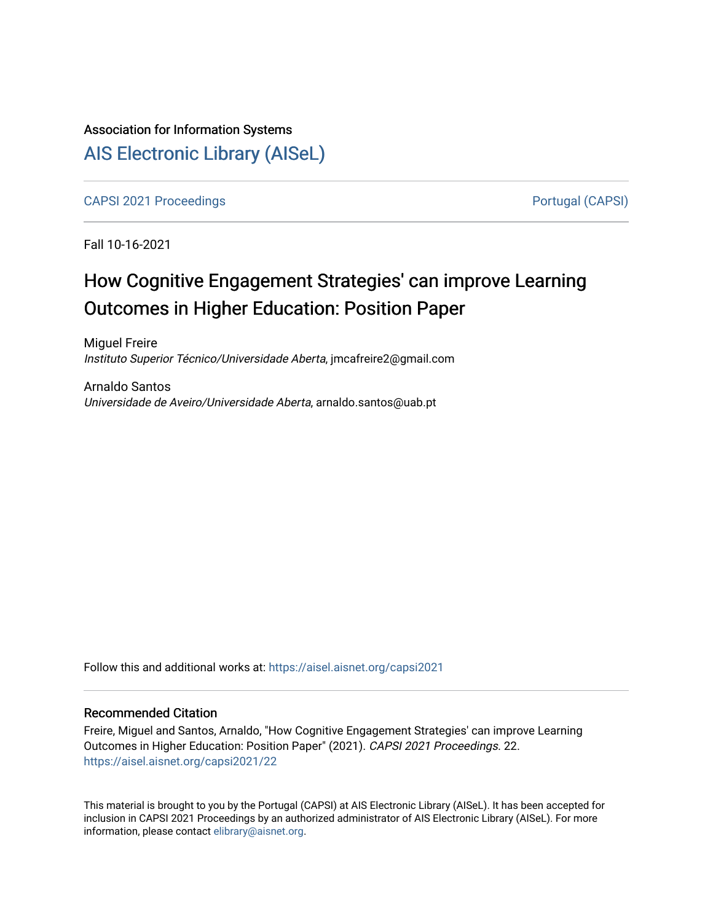# Association for Information Systems [AIS Electronic Library \(AISeL\)](https://aisel.aisnet.org/)

[CAPSI 2021 Proceedings](https://aisel.aisnet.org/capsi2021) **Portugal (CAPSI)** Portugal (CAPSI)

Fall 10-16-2021

# How Cognitive Engagement Strategies' can improve Learning Outcomes in Higher Education: Position Paper

Miguel Freire Instituto Superior Técnico/Universidade Aberta, jmcafreire2@gmail.com

Arnaldo Santos Universidade de Aveiro/Universidade Aberta, arnaldo.santos@uab.pt

Follow this and additional works at: [https://aisel.aisnet.org/capsi2021](https://aisel.aisnet.org/capsi2021?utm_source=aisel.aisnet.org%2Fcapsi2021%2F22&utm_medium=PDF&utm_campaign=PDFCoverPages)

# Recommended Citation

Freire, Miguel and Santos, Arnaldo, "How Cognitive Engagement Strategies' can improve Learning Outcomes in Higher Education: Position Paper" (2021). CAPSI 2021 Proceedings. 22. [https://aisel.aisnet.org/capsi2021/22](https://aisel.aisnet.org/capsi2021/22?utm_source=aisel.aisnet.org%2Fcapsi2021%2F22&utm_medium=PDF&utm_campaign=PDFCoverPages) 

This material is brought to you by the Portugal (CAPSI) at AIS Electronic Library (AISeL). It has been accepted for inclusion in CAPSI 2021 Proceedings by an authorized administrator of AIS Electronic Library (AISeL). For more information, please contact [elibrary@aisnet.org.](mailto:elibrary@aisnet.org%3E)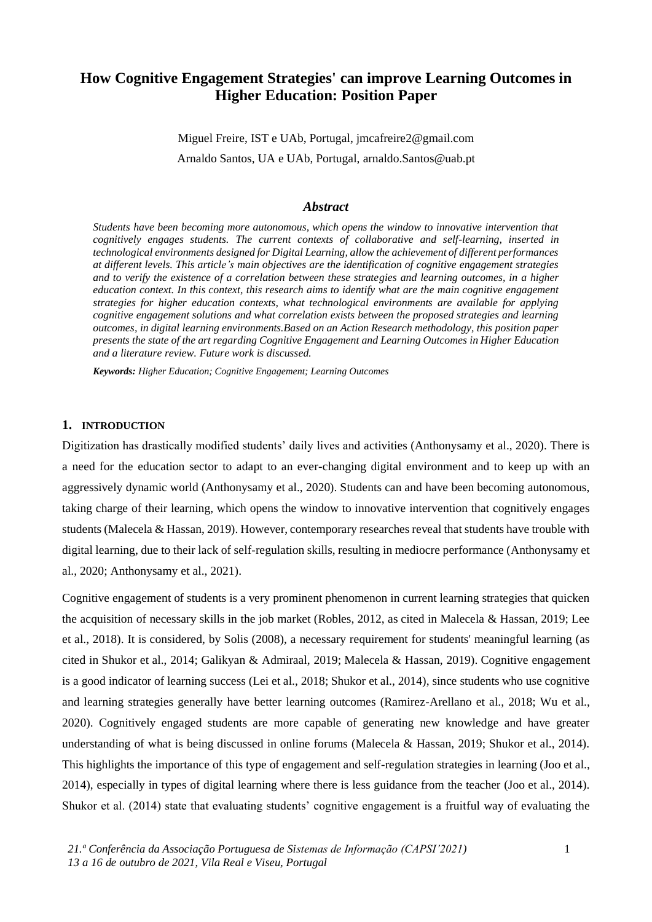# **How Cognitive Engagement Strategies' can improve Learning Outcomes in Higher Education: Position Paper**

Miguel Freire, IST e UAb, Portugal, jmcafreire2@gmail.com Arnaldo Santos, UA e UAb, Portugal, arnaldo.Santos@uab.pt

## *Abstract*

*Students have been becoming more autonomous, which opens the window to innovative intervention that cognitively engages students. The current contexts of collaborative and self-learning, inserted in technological environments designed for Digital Learning, allow the achievement of different performances at different levels. This article's main objectives are the identification of cognitive engagement strategies and to verify the existence of a correlation between these strategies and learning outcomes, in a higher education context. In this context, this research aims to identify what are the main cognitive engagement strategies for higher education contexts, what technological environments are available for applying cognitive engagement solutions and what correlation exists between the proposed strategies and learning outcomes, in digital learning environments.Based on an Action Research methodology, this position paper presents the state of the art regarding Cognitive Engagement and Learning Outcomes in Higher Education and a literature review. Future work is discussed.*

*Keywords: Higher Education; Cognitive Engagement; Learning Outcomes*

# **1. INTRODUCTION**

Digitization has drastically modified students' daily lives and activities (Anthonysamy et al., 2020). There is a need for the education sector to adapt to an ever-changing digital environment and to keep up with an aggressively dynamic world (Anthonysamy et al., 2020). Students can and have been becoming autonomous, taking charge of their learning, which opens the window to innovative intervention that cognitively engages students (Malecela & Hassan, 2019). However, contemporary researches reveal that students have trouble with digital learning, due to their lack of self-regulation skills, resulting in mediocre performance (Anthonysamy et al., 2020; Anthonysamy et al., 2021).

Cognitive engagement of students is a very prominent phenomenon in current learning strategies that quicken the acquisition of necessary skills in the job market (Robles, 2012, as cited in Malecela & Hassan, 2019; Lee et al., 2018). It is considered, by Solis (2008), a necessary requirement for students' meaningful learning (as cited in Shukor et al., 2014; Galikyan & Admiraal, 2019; Malecela & Hassan, 2019). Cognitive engagement is a good indicator of learning success (Lei et al., 2018; Shukor et al., 2014), since students who use cognitive and learning strategies generally have better learning outcomes (Ramirez-Arellano et al., 2018; Wu et al., 2020). Cognitively engaged students are more capable of generating new knowledge and have greater understanding of what is being discussed in online forums (Malecela & Hassan, 2019; Shukor et al., 2014). This highlights the importance of this type of engagement and self-regulation strategies in learning (Joo et al., 2014), especially in types of digital learning where there is less guidance from the teacher (Joo et al., 2014). Shukor et al. (2014) state that evaluating students' cognitive engagement is a fruitful way of evaluating the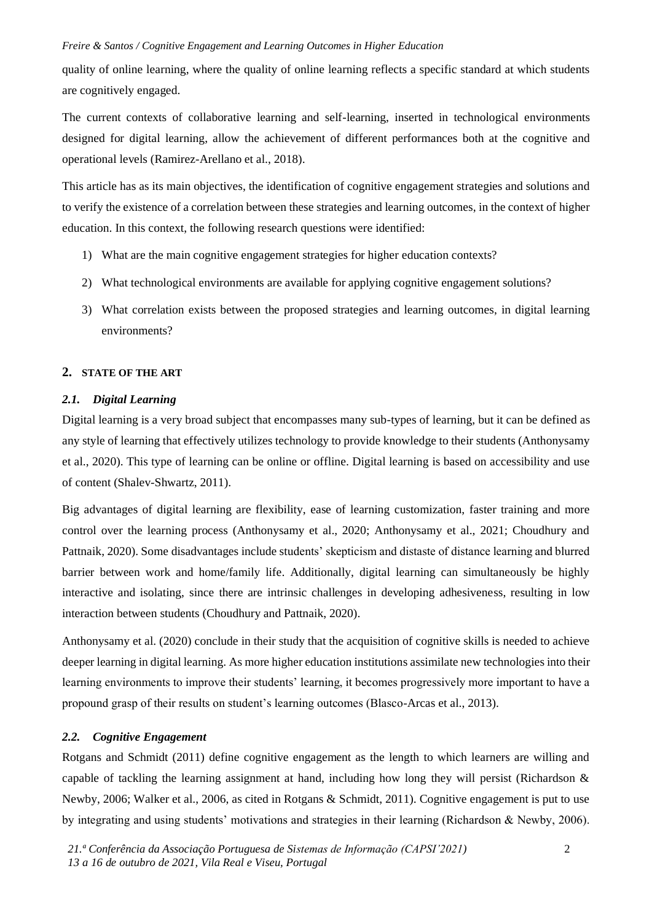quality of online learning, where the quality of online learning reflects a specific standard at which students are cognitively engaged.

The current contexts of collaborative learning and self-learning, inserted in technological environments designed for digital learning, allow the achievement of different performances both at the cognitive and operational levels (Ramirez-Arellano et al., 2018).

This article has as its main objectives, the identification of cognitive engagement strategies and solutions and to verify the existence of a correlation between these strategies and learning outcomes, in the context of higher education. In this context, the following research questions were identified:

- 1) What are the main cognitive engagement strategies for higher education contexts?
- 2) What technological environments are available for applying cognitive engagement solutions?
- 3) What correlation exists between the proposed strategies and learning outcomes, in digital learning environments?

# **2. STATE OF THE ART**

## *2.1. Digital Learning*

Digital learning is a very broad subject that encompasses many sub-types of learning, but it can be defined as any style of learning that effectively utilizes technology to provide knowledge to their students (Anthonysamy et al., 2020). This type of learning can be online or offline. Digital learning is based on accessibility and use of content (Shalev-Shwartz, 2011).

Big advantages of digital learning are flexibility, ease of learning customization, faster training and more control over the learning process (Anthonysamy et al., 2020; Anthonysamy et al., 2021; Choudhury and Pattnaik, 2020). Some disadvantages include students' skepticism and distaste of distance learning and blurred barrier between work and home/family life. Additionally, digital learning can simultaneously be highly interactive and isolating, since there are intrinsic challenges in developing adhesiveness, resulting in low interaction between students (Choudhury and Pattnaik, 2020).

Anthonysamy et al. (2020) conclude in their study that the acquisition of cognitive skills is needed to achieve deeper learning in digital learning. As more higher education institutions assimilate new technologies into their learning environments to improve their students' learning, it becomes progressively more important to have a propound grasp of their results on student's learning outcomes (Blasco-Arcas et al., 2013).

# *2.2. Cognitive Engagement*

Rotgans and Schmidt (2011) define cognitive engagement as the length to which learners are willing and capable of tackling the learning assignment at hand, including how long they will persist (Richardson & Newby, 2006; Walker et al., 2006, as cited in Rotgans & Schmidt, 2011). Cognitive engagement is put to use by integrating and using students' motivations and strategies in their learning (Richardson & Newby, 2006).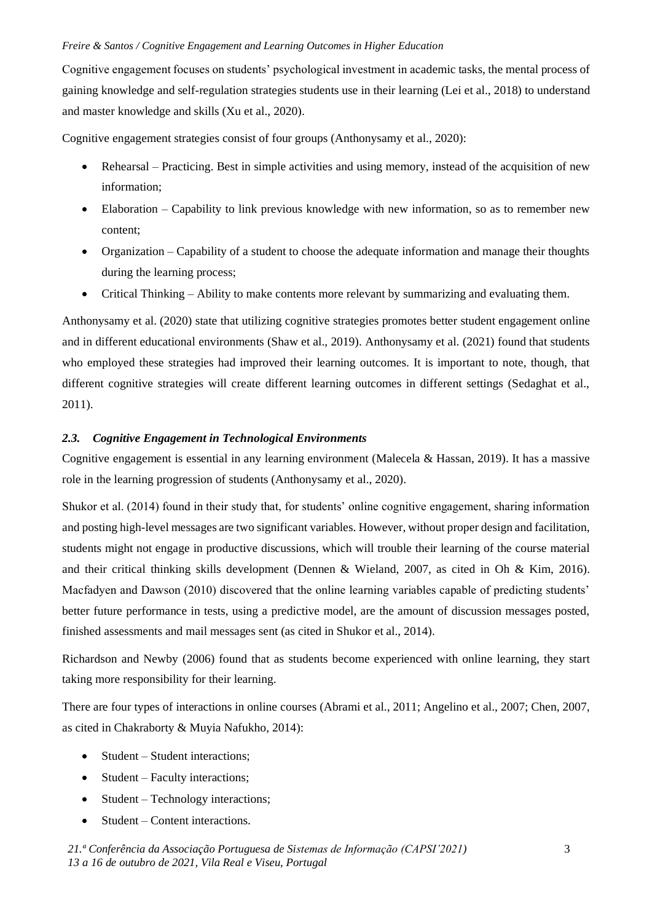Cognitive engagement focuses on students' psychological investment in academic tasks, the mental process of gaining knowledge and self-regulation strategies students use in their learning (Lei et al., 2018) to understand and master knowledge and skills (Xu et al., 2020).

Cognitive engagement strategies consist of four groups (Anthonysamy et al., 2020):

- Rehearsal Practicing. Best in simple activities and using memory, instead of the acquisition of new information;
- Elaboration Capability to link previous knowledge with new information, so as to remember new content;
- Organization Capability of a student to choose the adequate information and manage their thoughts during the learning process;
- Critical Thinking Ability to make contents more relevant by summarizing and evaluating them.

Anthonysamy et al. (2020) state that utilizing cognitive strategies promotes better student engagement online and in different educational environments (Shaw et al., 2019). Anthonysamy et al. (2021) found that students who employed these strategies had improved their learning outcomes. It is important to note, though, that different cognitive strategies will create different learning outcomes in different settings (Sedaghat et al., 2011).

# *2.3. Cognitive Engagement in Technological Environments*

Cognitive engagement is essential in any learning environment (Malecela & Hassan, 2019). It has a massive role in the learning progression of students (Anthonysamy et al., 2020).

Shukor et al. (2014) found in their study that, for students' online cognitive engagement, sharing information and posting high-level messages are two significant variables. However, without proper design and facilitation, students might not engage in productive discussions, which will trouble their learning of the course material and their critical thinking skills development (Dennen & Wieland, 2007, as cited in Oh & Kim, 2016). Macfadyen and Dawson (2010) discovered that the online learning variables capable of predicting students' better future performance in tests, using a predictive model, are the amount of discussion messages posted, finished assessments and mail messages sent (as cited in Shukor et al., 2014).

Richardson and Newby (2006) found that as students become experienced with online learning, they start taking more responsibility for their learning.

There are four types of interactions in online courses (Abrami et al., 2011; Angelino et al., 2007; Chen, 2007, as cited in Chakraborty & Muyia Nafukho, 2014):

- Student Student interactions;
- Student Faculty interactions;
- Student Technology interactions;
- Student Content interactions.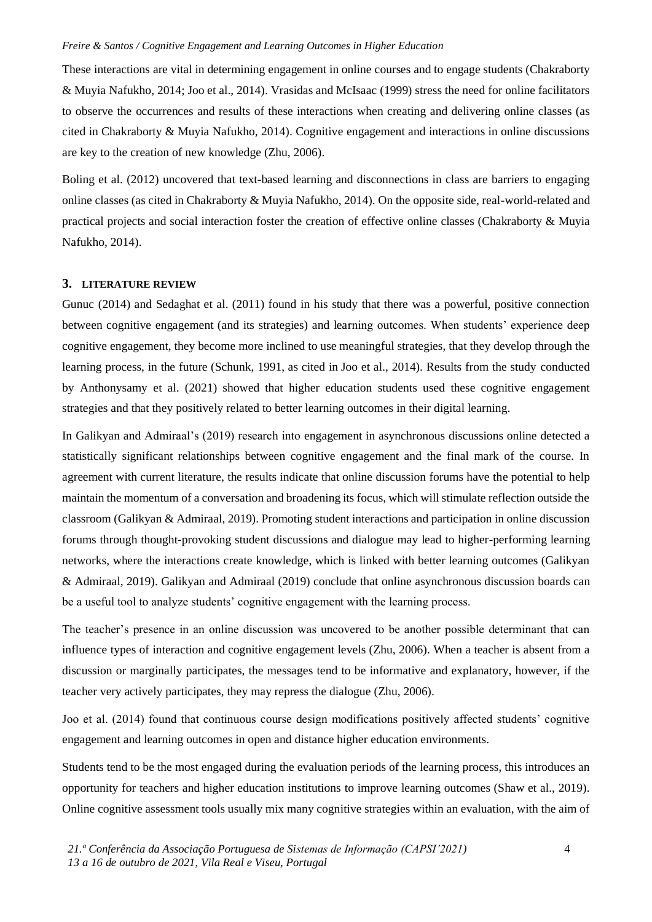These interactions are vital in determining engagement in online courses and to engage students (Chakraborty & Muyia Nafukho, 2014; Joo et al., 2014). Vrasidas and McIsaac (1999) stress the need for online facilitators to observe the occurrences and results of these interactions when creating and delivering online classes (as cited in Chakraborty & Muyia Nafukho, 2014). Cognitive engagement and interactions in online discussions are key to the creation of new knowledge (Zhu, 2006).

Boling et al. (2012) uncovered that text-based learning and disconnections in class are barriers to engaging online classes (as cited in Chakraborty & Muyia Nafukho, 2014). On the opposite side, real-world-related and practical projects and social interaction foster the creation of effective online classes (Chakraborty & Muyia Nafukho, 2014).

## **3. LITERATURE REVIEW**

Gunuc (2014) and Sedaghat et al. (2011) found in his study that there was a powerful, positive connection between cognitive engagement (and its strategies) and learning outcomes. When students' experience deep cognitive engagement, they become more inclined to use meaningful strategies, that they develop through the learning process, in the future (Schunk, 1991, as cited in Joo et al., 2014). Results from the study conducted by Anthonysamy et al. (2021) showed that higher education students used these cognitive engagement strategies and that they positively related to better learning outcomes in their digital learning.

In Galikyan and Admiraal's (2019) research into engagement in asynchronous discussions online detected a statistically significant relationships between cognitive engagement and the final mark of the course. In agreement with current literature, the results indicate that online discussion forums have the potential to help maintain the momentum of a conversation and broadening its focus, which will stimulate reflection outside the classroom (Galikyan & Admiraal, 2019). Promoting student interactions and participation in online discussion forums through thought-provoking student discussions and dialogue may lead to higher-performing learning networks, where the interactions create knowledge, which is linked with better learning outcomes (Galikyan & Admiraal, 2019). Galikyan and Admiraal (2019) conclude that online asynchronous discussion boards can be a useful tool to analyze students' cognitive engagement with the learning process.

The teacher's presence in an online discussion was uncovered to be another possible determinant that can influence types of interaction and cognitive engagement levels (Zhu, 2006). When a teacher is absent from a discussion or marginally participates, the messages tend to be informative and explanatory, however, if the teacher very actively participates, they may repress the dialogue (Zhu, 2006).

Joo et al. (2014) found that continuous course design modifications positively affected students' cognitive engagement and learning outcomes in open and distance higher education environments.

Students tend to be the most engaged during the evaluation periods of the learning process, this introduces an opportunity for teachers and higher education institutions to improve learning outcomes (Shaw et al., 2019). Online cognitive assessment tools usually mix many cognitive strategies within an evaluation, with the aim of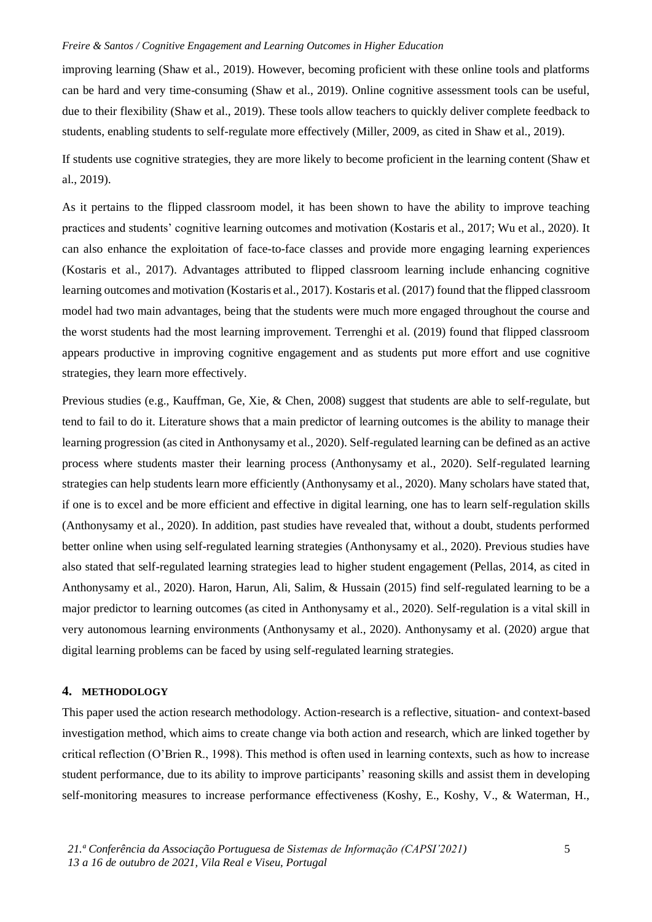improving learning (Shaw et al., 2019). However, becoming proficient with these online tools and platforms can be hard and very time-consuming (Shaw et al., 2019). Online cognitive assessment tools can be useful, due to their flexibility (Shaw et al., 2019). These tools allow teachers to quickly deliver complete feedback to students, enabling students to self-regulate more effectively (Miller, 2009, as cited in Shaw et al., 2019).

If students use cognitive strategies, they are more likely to become proficient in the learning content (Shaw et al., 2019).

As it pertains to the flipped classroom model, it has been shown to have the ability to improve teaching practices and students' cognitive learning outcomes and motivation (Kostaris et al., 2017; Wu et al., 2020). It can also enhance the exploitation of face-to-face classes and provide more engaging learning experiences (Kostaris et al., 2017). Advantages attributed to flipped classroom learning include enhancing cognitive learning outcomes and motivation (Kostaris et al., 2017). Kostaris et al. (2017) found that the flipped classroom model had two main advantages, being that the students were much more engaged throughout the course and the worst students had the most learning improvement. Terrenghi et al. (2019) found that flipped classroom appears productive in improving cognitive engagement and as students put more effort and use cognitive strategies, they learn more effectively.

Previous studies (e.g., Kauffman, Ge, Xie, & Chen, 2008) suggest that students are able to self-regulate, but tend to fail to do it. Literature shows that a main predictor of learning outcomes is the ability to manage their learning progression (as cited in Anthonysamy et al., 2020). Self-regulated learning can be defined as an active process where students master their learning process (Anthonysamy et al., 2020). Self-regulated learning strategies can help students learn more efficiently (Anthonysamy et al., 2020). Many scholars have stated that, if one is to excel and be more efficient and effective in digital learning, one has to learn self-regulation skills (Anthonysamy et al., 2020). In addition, past studies have revealed that, without a doubt, students performed better online when using self-regulated learning strategies (Anthonysamy et al., 2020). Previous studies have also stated that self-regulated learning strategies lead to higher student engagement (Pellas, 2014, as cited in Anthonysamy et al., 2020). Haron, Harun, Ali, Salim, & Hussain (2015) find self-regulated learning to be a major predictor to learning outcomes (as cited in Anthonysamy et al., 2020). Self-regulation is a vital skill in very autonomous learning environments (Anthonysamy et al., 2020). Anthonysamy et al. (2020) argue that digital learning problems can be faced by using self-regulated learning strategies.

#### **4. METHODOLOGY**

This paper used the action research methodology. Action-research is a reflective, situation- and context-based investigation method, which aims to create change via both action and research, which are linked together by critical reflection (O'Brien R., 1998). This method is often used in learning contexts, such as how to increase student performance, due to its ability to improve participants' reasoning skills and assist them in developing self-monitoring measures to increase performance effectiveness (Koshy, E., Koshy, V., & Waterman, H.,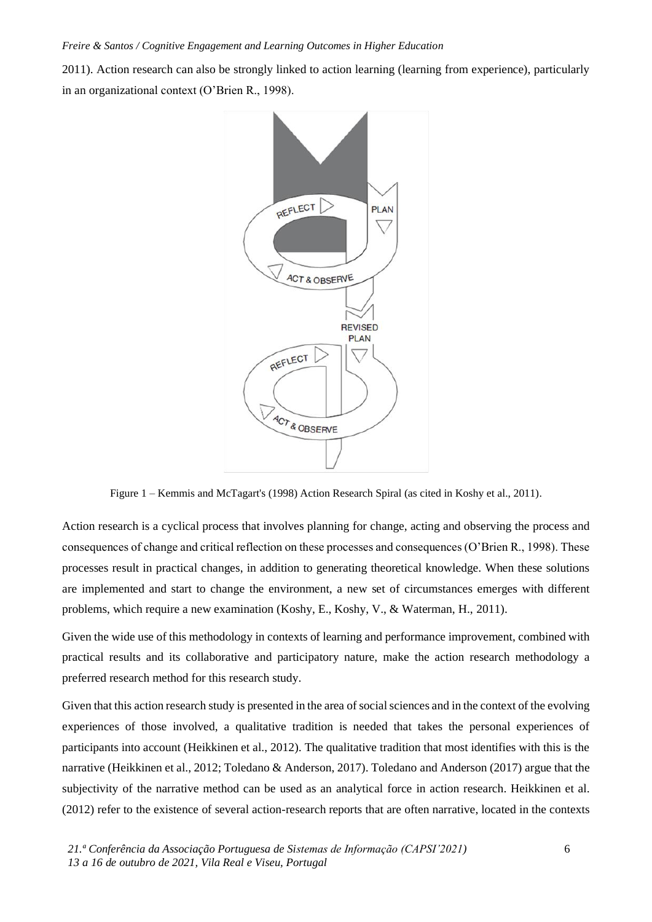2011). Action research can also be strongly linked to action learning (learning from experience), particularly in an organizational context (O'Brien R., 1998).



Figure 1 – Kemmis and McTagart's (1998) Action Research Spiral (as cited in Koshy et al., 2011).

Action research is a cyclical process that involves planning for change, acting and observing the process and consequences of change and critical reflection on these processes and consequences (O'Brien R., 1998). These processes result in practical changes, in addition to generating theoretical knowledge. When these solutions are implemented and start to change the environment, a new set of circumstances emerges with different problems, which require a new examination (Koshy, E., Koshy, V., & Waterman, H., 2011).

Given the wide use of this methodology in contexts of learning and performance improvement, combined with practical results and its collaborative and participatory nature, make the action research methodology a preferred research method for this research study.

Given that this action research study is presented in the area of social sciences and in the context of the evolving experiences of those involved, a qualitative tradition is needed that takes the personal experiences of participants into account (Heikkinen et al., 2012). The qualitative tradition that most identifies with this is the narrative (Heikkinen et al., 2012; Toledano & Anderson, 2017). Toledano and Anderson (2017) argue that the subjectivity of the narrative method can be used as an analytical force in action research. Heikkinen et al. (2012) refer to the existence of several action-research reports that are often narrative, located in the contexts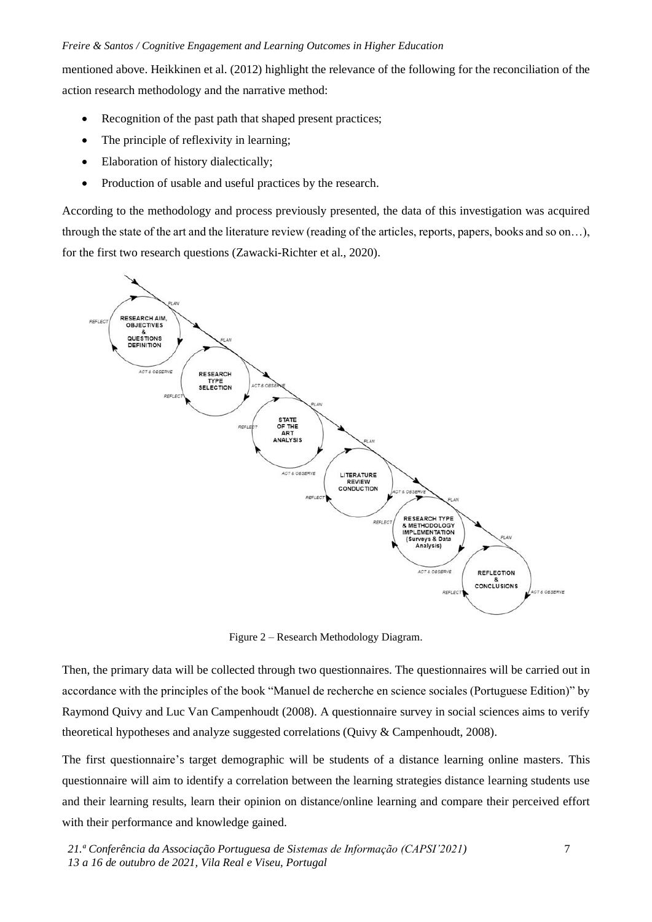mentioned above. Heikkinen et al. (2012) highlight the relevance of the following for the reconciliation of the action research methodology and the narrative method:

- Recognition of the past path that shaped present practices;
- The principle of reflexivity in learning;
- Elaboration of history dialectically;
- Production of usable and useful practices by the research.

According to the methodology and process previously presented, the data of this investigation was acquired through the state of the art and the literature review (reading of the articles, reports, papers, books and so on…), for the first two research questions (Zawacki-Richter et al., 2020).



Figure 2 – Research Methodology Diagram.

Then, the primary data will be collected through two questionnaires. The questionnaires will be carried out in accordance with the principles of the book "Manuel de recherche en science sociales (Portuguese Edition)" by Raymond Quivy and Luc Van Campenhoudt (2008). A questionnaire survey in social sciences aims to verify theoretical hypotheses and analyze suggested correlations (Quivy & Campenhoudt, 2008).

The first questionnaire's target demographic will be students of a distance learning online masters. This questionnaire will aim to identify a correlation between the learning strategies distance learning students use and their learning results, learn their opinion on distance/online learning and compare their perceived effort with their performance and knowledge gained.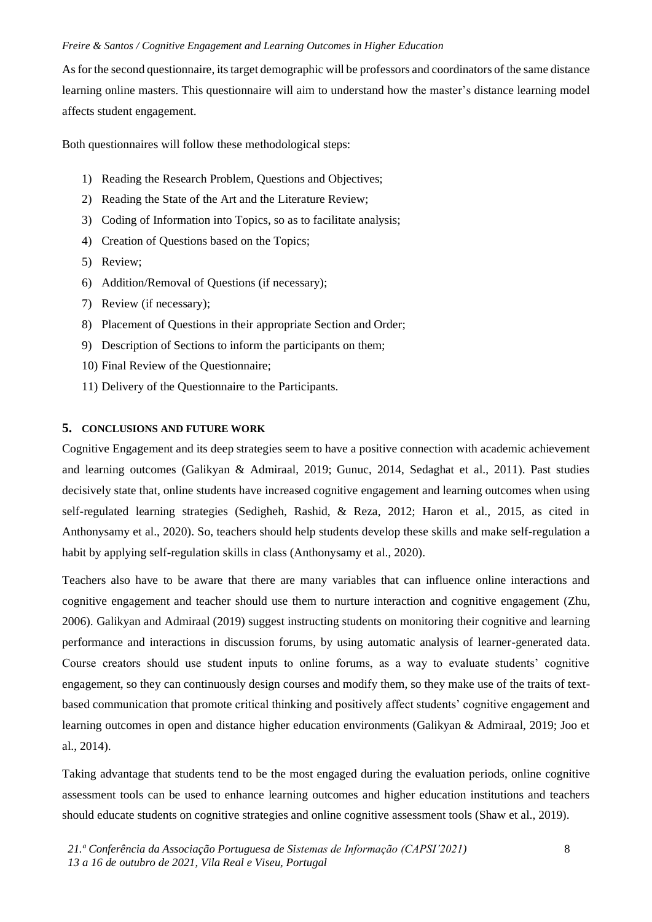As for the second questionnaire, its target demographic will be professors and coordinators of the same distance learning online masters. This questionnaire will aim to understand how the master's distance learning model affects student engagement.

Both questionnaires will follow these methodological steps:

- 1) Reading the Research Problem, Questions and Objectives;
- 2) Reading the State of the Art and the Literature Review;
- 3) Coding of Information into Topics, so as to facilitate analysis;
- 4) Creation of Questions based on the Topics;
- 5) Review;
- 6) Addition/Removal of Questions (if necessary);
- 7) Review (if necessary);
- 8) Placement of Questions in their appropriate Section and Order;
- 9) Description of Sections to inform the participants on them;
- 10) Final Review of the Questionnaire;
- 11) Delivery of the Questionnaire to the Participants.

# **5. CONCLUSIONS AND FUTURE WORK**

Cognitive Engagement and its deep strategies seem to have a positive connection with academic achievement and learning outcomes (Galikyan & Admiraal, 2019; Gunuc, 2014, Sedaghat et al., 2011). Past studies decisively state that, online students have increased cognitive engagement and learning outcomes when using self-regulated learning strategies (Sedigheh, Rashid, & Reza, 2012; Haron et al., 2015, as cited in Anthonysamy et al., 2020). So, teachers should help students develop these skills and make self-regulation a habit by applying self-regulation skills in class (Anthonysamy et al., 2020).

Teachers also have to be aware that there are many variables that can influence online interactions and cognitive engagement and teacher should use them to nurture interaction and cognitive engagement (Zhu, 2006). Galikyan and Admiraal (2019) suggest instructing students on monitoring their cognitive and learning performance and interactions in discussion forums, by using automatic analysis of learner-generated data. Course creators should use student inputs to online forums, as a way to evaluate students' cognitive engagement, so they can continuously design courses and modify them, so they make use of the traits of textbased communication that promote critical thinking and positively affect students' cognitive engagement and learning outcomes in open and distance higher education environments (Galikyan & Admiraal, 2019; Joo et al., 2014).

Taking advantage that students tend to be the most engaged during the evaluation periods, online cognitive assessment tools can be used to enhance learning outcomes and higher education institutions and teachers should educate students on cognitive strategies and online cognitive assessment tools (Shaw et al., 2019).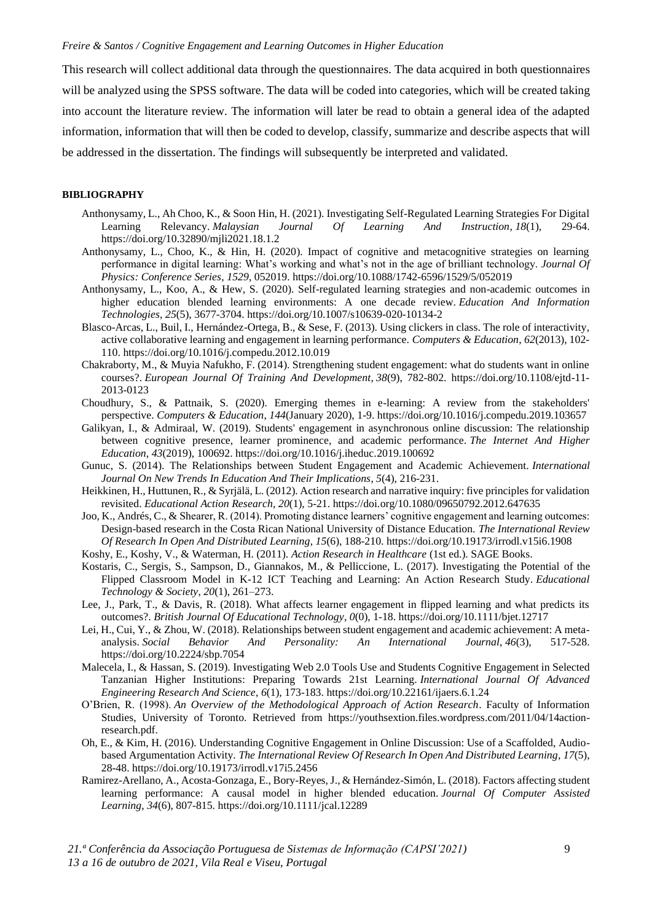This research will collect additional data through the questionnaires. The data acquired in both questionnaires will be analyzed using the SPSS software. The data will be coded into categories, which will be created taking into account the literature review. The information will later be read to obtain a general idea of the adapted information, information that will then be coded to develop, classify, summarize and describe aspects that will be addressed in the dissertation. The findings will subsequently be interpreted and validated.

#### **BIBLIOGRAPHY**

- Anthonysamy, L., Ah Choo, K., & Soon Hin, H. (2021). Investigating Self-Regulated Learning Strategies For Digital Learning Relevancy. *Malaysian Journal Of Learning And Instruction*, *18*(1), 29-64. https://doi.org/10.32890/mjli2021.18.1.2
- Anthonysamy, L., Choo, K., & Hin, H. (2020). Impact of cognitive and metacognitive strategies on learning performance in digital learning: What's working and what's not in the age of brilliant technology. *Journal Of Physics: Conference Series*, *1529*, 052019. https://doi.org/10.1088/1742-6596/1529/5/052019
- Anthonysamy, L., Koo, A., & Hew, S. (2020). Self-regulated learning strategies and non-academic outcomes in higher education blended learning environments: A one decade review. *Education And Information Technologies*, *25*(5), 3677-3704. https://doi.org/10.1007/s10639-020-10134-2
- Blasco-Arcas, L., Buil, I., Hernández-Ortega, B., & Sese, F. (2013). Using clickers in class. The role of interactivity, active collaborative learning and engagement in learning performance. *Computers & Education*, *62*(2013), 102- 110. https://doi.org/10.1016/j.compedu.2012.10.019
- Chakraborty, M., & Muyia Nafukho, F. (2014). Strengthening student engagement: what do students want in online courses?. *European Journal Of Training And Development*, *38*(9), 782-802. https://doi.org/10.1108/ejtd-11- 2013-0123
- Choudhury, S., & Pattnaik, S. (2020). Emerging themes in e-learning: A review from the stakeholders' perspective. *Computers & Education*, *144*(January 2020), 1-9. https://doi.org/10.1016/j.compedu.2019.103657
- Galikyan, I., & Admiraal, W. (2019). Students' engagement in asynchronous online discussion: The relationship between cognitive presence, learner prominence, and academic performance. *The Internet And Higher Education*, *43*(2019), 100692. https://doi.org/10.1016/j.iheduc.2019.100692
- Gunuc, S. (2014). The Relationships between Student Engagement and Academic Achievement. *International Journal On New Trends In Education And Their Implications*, *5*(4), 216-231.
- Heikkinen, H., Huttunen, R., & Syrjälä, L. (2012). Action research and narrative inquiry: five principles for validation revisited. *Educational Action Research*, *20*(1), 5-21. https://doi.org/10.1080/09650792.2012.647635
- Joo, K., Andrés, C., & Shearer, R. (2014). Promoting distance learners' cognitive engagement and learning outcomes: Design-based research in the Costa Rican National University of Distance Education. *The International Review Of Research In Open And Distributed Learning*, *15*(6), 188-210. https://doi.org/10.19173/irrodl.v15i6.1908
- Koshy, E., Koshy, V., & Waterman, H. (2011). *Action Research in Healthcare* (1st ed.). SAGE Books.
- Kostaris, C., Sergis, S., Sampson, D., Giannakos, M., & Pelliccione, L. (2017). Investigating the Potential of the Flipped Classroom Model in K-12 ICT Teaching and Learning: An Action Research Study. *Educational Technology & Society*, *20*(1), 261–273.
- Lee, J., Park, T., & Davis, R. (2018). What affects learner engagement in flipped learning and what predicts its outcomes?. *British Journal Of Educational Technology*, *0*(0), 1-18. https://doi.org/10.1111/bjet.12717
- Lei, H., Cui, Y., & Zhou, W. (2018). Relationships between student engagement and academic achievement: A metaanalysis. *Social Behavior And Personality: An International Journal*, *46*(3), 517-528. https://doi.org/10.2224/sbp.7054
- Malecela, I., & Hassan, S. (2019). Investigating Web 2.0 Tools Use and Students Cognitive Engagement in Selected Tanzanian Higher Institutions: Preparing Towards 21st Learning. *International Journal Of Advanced Engineering Research And Science*, *6*(1), 173-183. https://doi.org/10.22161/ijaers.6.1.24
- O'Brien, R. (1998). *An Overview of the Methodological Approach of Action Research*. Faculty of Information Studies, University of Toronto. Retrieved from https://youthsextion.files.wordpress.com/2011/04/14actionresearch.pdf.
- Oh, E., & Kim, H. (2016). Understanding Cognitive Engagement in Online Discussion: Use of a Scaffolded, Audiobased Argumentation Activity. *The International Review Of Research In Open And Distributed Learning*, *17*(5), 28-48. https://doi.org/10.19173/irrodl.v17i5.2456
- Ramirez-Arellano, A., Acosta-Gonzaga, E., Bory-Reyes, J., & Hernández-Simón, L. (2018). Factors affecting student learning performance: A causal model in higher blended education. *Journal Of Computer Assisted Learning*, *34*(6), 807-815. https://doi.org/10.1111/jcal.12289